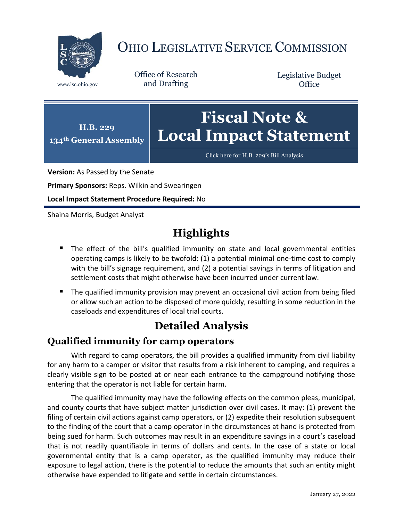

# OHIO LEGISLATIVE SERVICE COMMISSION

Office of Research www.lsc.ohio.gov and Drafting

Legislative Budget **Office** 



[Click here for H.B. 229](https://www.legislature.ohio.gov/legislation/legislation-documents?id=GA134-HB-229)'s Bill Analysis

**Version:** As Passed by the Senate

**Primary Sponsors:** Reps. Wilkin and Swearingen

**Local Impact Statement Procedure Required:** No

Shaina Morris, Budget Analyst

## **Highlights**

- **The effect of the bill's qualified immunity on state and local governmental entities** operating camps is likely to be twofold: (1) a potential minimal one-time cost to comply with the bill's signage requirement, and (2) a potential savings in terms of litigation and settlement costs that might otherwise have been incurred under current law.
- **The qualified immunity provision may prevent an occasional civil action from being filed** or allow such an action to be disposed of more quickly, resulting in some reduction in the caseloads and expenditures of local trial courts.

### **Detailed Analysis**

#### **Qualified immunity for camp operators**

With regard to camp operators, the bill provides a qualified immunity from civil liability for any harm to a camper or visitor that results from a risk inherent to camping, and requires a clearly visible sign to be posted at or near each entrance to the campground notifying those entering that the operator is not liable for certain harm.

The qualified immunity may have the following effects on the common pleas, municipal, and county courts that have subject matter jurisdiction over civil cases. It may: (1) prevent the filing of certain civil actions against camp operators, or (2) expedite their resolution subsequent to the finding of the court that a camp operator in the circumstances at hand is protected from being sued for harm. Such outcomes may result in an expenditure savings in a court's caseload that is not readily quantifiable in terms of dollars and cents. In the case of a state or local governmental entity that is a camp operator, as the qualified immunity may reduce their exposure to legal action, there is the potential to reduce the amounts that such an entity might otherwise have expended to litigate and settle in certain circumstances.